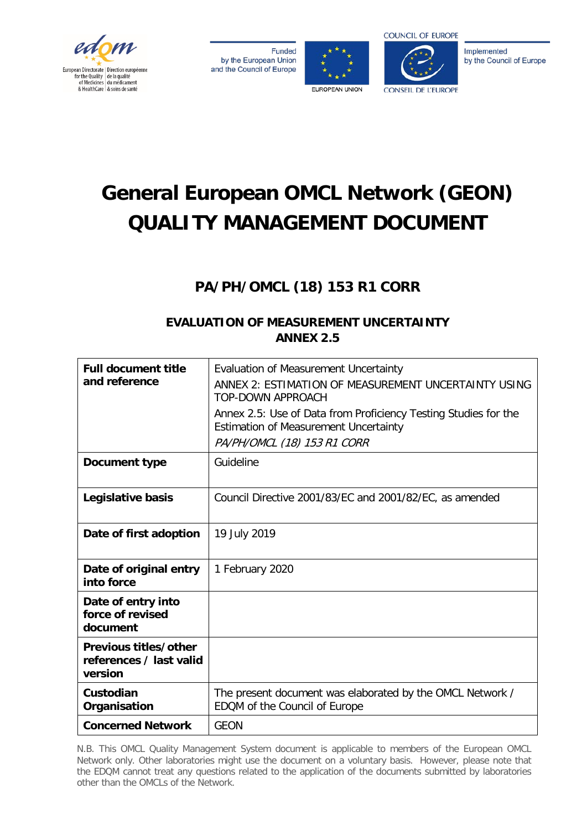

**Funded** by the European Union and the Council of Europe





Implemented by the Council of Europe

# **General European OMCL Network (GEON) QUALITY MANAGEMENT DOCUMENT**

## **PA/PH/OMCL (18) 153 R1 CORR**

## **EVALUATION OF MEASUREMENT UNCERTAINTY ANNEX 2.5**

| <b>Full document title</b><br>and reference                 | Evaluation of Measurement Uncertainty<br>ANNEX 2: ESTIMATION OF MEASUREMENT UNCERTAINTY USING<br><b>TOP-DOWN APPROACH</b><br>Annex 2.5: Use of Data from Proficiency Testing Studies for the<br>Estimation of Measurement Uncertainty<br>PA/PH/OMCL (18) 153 R1 CORR |
|-------------------------------------------------------------|----------------------------------------------------------------------------------------------------------------------------------------------------------------------------------------------------------------------------------------------------------------------|
| Document type                                               | Guideline                                                                                                                                                                                                                                                            |
| Legislative basis                                           | Council Directive 2001/83/EC and 2001/82/EC, as amended                                                                                                                                                                                                              |
| Date of first adoption                                      | 19 July 2019                                                                                                                                                                                                                                                         |
| Date of original entry<br>into force                        | 1 February 2020                                                                                                                                                                                                                                                      |
| Date of entry into<br>force of revised<br>document          |                                                                                                                                                                                                                                                                      |
| Previous titles/other<br>references / last valid<br>version |                                                                                                                                                                                                                                                                      |
| Custodian<br>Organisation                                   | The present document was elaborated by the OMCL Network /<br>EDQM of the Council of Europe                                                                                                                                                                           |
| <b>Concerned Network</b>                                    | <b>GEON</b>                                                                                                                                                                                                                                                          |

N.B. This OMCL Quality Management System document is applicable to members of the European OMCL Network only. Other laboratories might use the document on a voluntary basis. However, please note that the EDQM cannot treat any questions related to the application of the documents submitted by laboratories other than the OMCLs of the Network.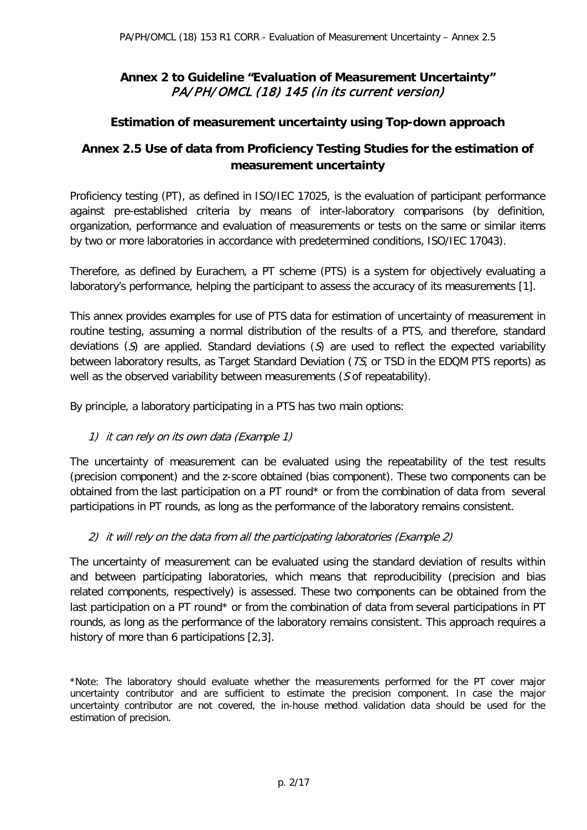## **Annex 2 to Guideline "Evaluation of Measurement Uncertainty"**  PA/PH/OMCL (18) 145 (in its current version)

## **Estimation of measurement uncertainty using Top-down approach**

## **Annex 2.5 Use of data from Proficiency Testing Studies for the estimation of measurement uncertainty**

Proficiency testing (PT), as defined in ISO/IEC 17025, is the evaluation of participant performance against pre-established criteria by means of inter-laboratory comparisons (by definition, organization, performance and evaluation of measurements or tests on the same or similar items by two or more laboratories in accordance with predetermined conditions, ISO/IEC 17043).

Therefore, as defined by Eurachem, a PT scheme (PTS) is a system for objectively evaluating a laboratory's performance, helping the participant to assess the accuracy of its measurements [1].

This annex provides examples for use of PTS data for estimation of uncertainty of measurement in routine testing, assuming a normal distribution of the results of a PTS, and therefore, standard deviations (S) are applied. Standard deviations (S) are used to reflect the expected variability between laboratory results, as Target Standard Deviation (TS, or TSD in the EDQM PTS reports) as well as the observed variability between measurements (S of repeatability).

By principle, a laboratory participating in a PTS has two main options:

#### 1) it can rely on its own data (Example 1)

The uncertainty of measurement can be evaluated using the repeatability of the test results (precision component) and the z-score obtained (bias component). These two components can be obtained from the last participation on a PT round\* or from the combination of data from several participations in PT rounds, as long as the performance of the laboratory remains consistent.

#### 2) it will rely on the data from all the participating laboratories (Example 2)

The uncertainty of measurement can be evaluated using the standard deviation of results within and between participating laboratories, which means that reproducibility (precision and bias related components, respectively) is assessed. These two components can be obtained from the last participation on a PT round\* or from the combination of data from several participations in PT rounds, as long as the performance of the laboratory remains consistent. This approach requires a history of more than 6 participations [2,3].

\*Note: The laboratory should evaluate whether the measurements performed for the PT cover major uncertainty contributor and are sufficient to estimate the precision component. In case the major uncertainty contributor are not covered, the in-house method validation data should be used for the estimation of precision.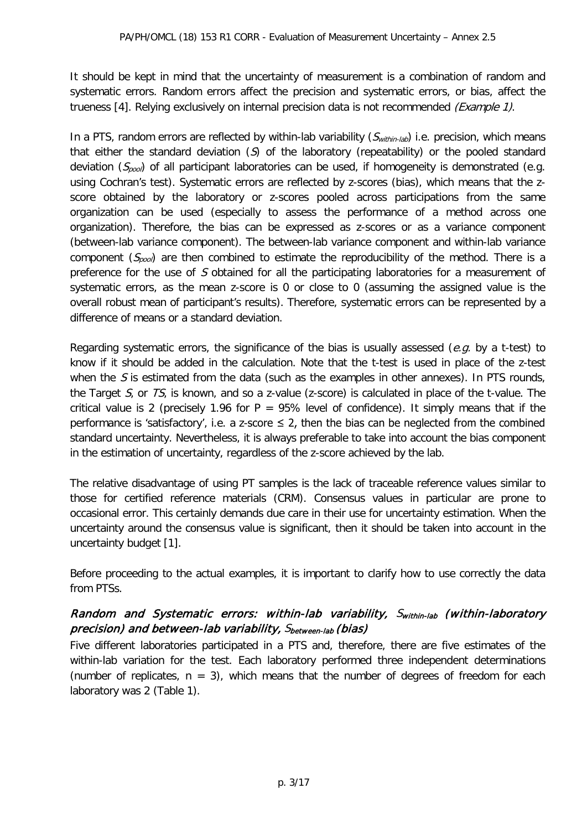It should be kept in mind that the uncertainty of measurement is a combination of random and systematic errors. Random errors affect the precision and systematic errors, or bias, affect the trueness [4]. Relying exclusively on internal precision data is not recommended (Example 1).

In a PTS, random errors are reflected by within-lab variability  $(S_{within-hb})$  i.e. precision, which means that either the standard deviation  $(S)$  of the laboratory (repeatability) or the pooled standard deviation  $(S_{\text{pool}})$  of all participant laboratories can be used, if homogeneity is demonstrated (e.g. using Cochran's test). Systematic errors are reflected by z-scores (bias), which means that the zscore obtained by the laboratory or z-scores pooled across participations from the same organization can be used (especially to assess the performance of a method across one organization). Therefore, the bias can be expressed as z-scores or as a variance component (between-lab variance component). The between-lab variance component and within-lab variance component  $(S_{~~pool~~) are then combined to estimate the reproducibility of the method. There is a$ preference for the use of S obtained for all the participating laboratories for a measurement of systematic errors, as the mean z-score is 0 or close to 0 (assuming the assigned value is the overall robust mean of participant's results). Therefore, systematic errors can be represented by a difference of means or a standard deviation.

Regarding systematic errors, the significance of the bias is usually assessed (e.g. by a t-test) to know if it should be added in the calculation. Note that the t-test is used in place of the z-test when the S is estimated from the data (such as the examples in other annexes). In PTS rounds, the Target  $S_i$ , or  $TS_i$ , is known, and so a z-value (z-score) is calculated in place of the t-value. The critical value is 2 (precisely 1.96 for  $P = 95\%$  level of confidence). It simply means that if the performance is 'satisfactory', i.e. a z-score  $\leq$  2, then the bias can be neglected from the combined standard uncertainty. Nevertheless, it is always preferable to take into account the bias component in the estimation of uncertainty, regardless of the z-score achieved by the lab.

The relative disadvantage of using PT samples is the lack of traceable reference values similar to those for certified reference materials (CRM). Consensus values in particular are prone to occasional error. This certainly demands due care in their use for uncertainty estimation. When the uncertainty around the consensus value is significant, then it should be taken into account in the uncertainty budget [1].

Before proceeding to the actual examples, it is important to clarify how to use correctly the data from PTSs.

## Random and Systematic errors: within-lab variability, Swithin-lab (within-laboratory precision) and between-lab variability, Sbetween-lab (bias)

Five different laboratories participated in a PTS and, therefore, there are five estimates of the within-lab variation for the test. Each laboratory performed three independent determinations (number of replicates,  $n = 3$ ), which means that the number of degrees of freedom for each laboratory was 2 (Table 1).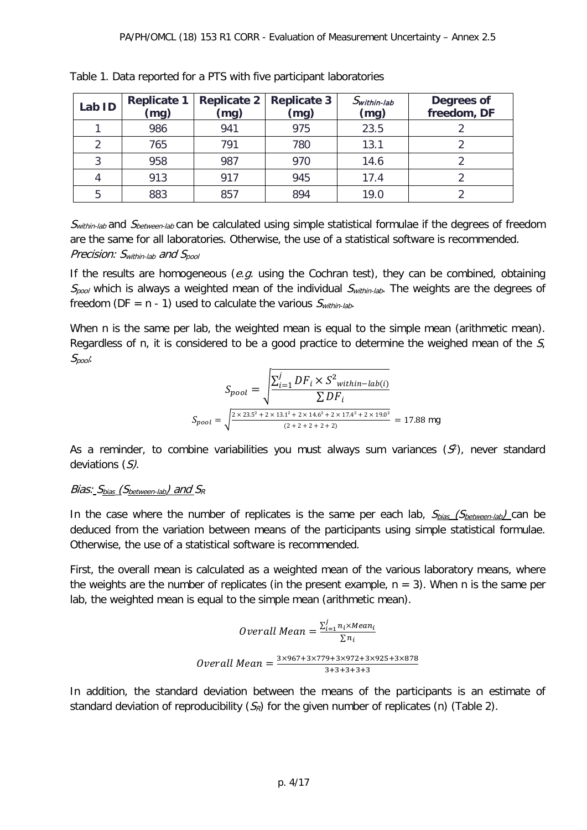| Lab ID | <b>Replicate 1</b><br>(mg) | <b>Replicate 2</b><br>(mg) | <b>Replicate 3</b><br>(mg) | $S$ within-lab<br>(mg) | Degrees of<br>freedom, DF |
|--------|----------------------------|----------------------------|----------------------------|------------------------|---------------------------|
|        | 986                        | 941                        | 975                        | 23.5                   |                           |
|        | 765                        | 791                        | 780                        | 13.1                   |                           |
| 3      | 958                        | 987                        | 970                        | 14.6                   |                           |
|        | 913                        | 917                        | 945                        | 17.4                   |                           |
| 5      | 883                        | 857                        | 894                        | 19.0                   |                           |

|  | Table 1. Data reported for a PTS with five participant laboratories |  |  |  |  |
|--|---------------------------------------------------------------------|--|--|--|--|
|--|---------------------------------------------------------------------|--|--|--|--|

Swithin-lab and Sbetween-lab can be calculated using simple statistical formulae if the degrees of freedom are the same for all laboratories. Otherwise, the use of a statistical software is recommended. Precision:  $S_{within\,lab}$  and  $S_{pool}$ 

If the results are homogeneous (e.g. using the Cochran test), they can be combined, obtaining  $S_{pool}$  which is always a weighted mean of the individual  $S_{within-lab}$ . The weights are the degrees of freedom (DF =  $n - 1$ ) used to calculate the various  $S<sub>within-lab</sub>$ .

When n is the same per lab, the weighted mean is equal to the simple mean (arithmetic mean). Regardless of n, it is considered to be a good practice to determine the weighed mean of the  $S<sub>i</sub>$ Spool:

$$
S_{pool} = \sqrt{\frac{\sum_{i=1}^{j} DF_i \times S^2_{within-lab(i)}}{\sum DF_i}}
$$

$$
S_{pool} = \sqrt{\frac{2 \times 23.5^2 + 2 \times 13.1^2 + 2 \times 14.6^2 + 2 \times 17.4^2 + 2 \times 19.0^2}{(2 + 2 + 2 + 2 + 2)}} = 17.88 \text{ mg}
$$

As a reminder, to combine variabilities you must always sum variances  $(S^2)$ , never standard deviations (S).

#### Bias:  $S_{bias}$  (S<sub>between-lab</sub>) and  $S_R$

In the case where the number of replicates is the same per each lab,  $S_{bias}$  ( $S_{between-lab}$ ) can be deduced from the variation between means of the participants using simple statistical formulae. Otherwise, the use of a statistical software is recommended.

First, the overall mean is calculated as a weighted mean of the various laboratory means, where the weights are the number of replicates (in the present example,  $n = 3$ ). When n is the same per lab, the weighted mean is equal to the simple mean (arithmetic mean).

*Overall Mean* = 
$$
\frac{\sum_{i=1}^{j} n_i \times Mean_i}{\sum n_i}
$$
  
*Overall Mean* = 
$$
\frac{3 \times 967 + 3 \times 779 + 3 \times 972 + 3 \times 925 + 3 \times 878}{3 + 3 + 3 + 3 + 3}
$$

In addition, the standard deviation between the means of the participants is an estimate of standard deviation of reproducibility  $(S_R)$  for the given number of replicates (n) (Table 2).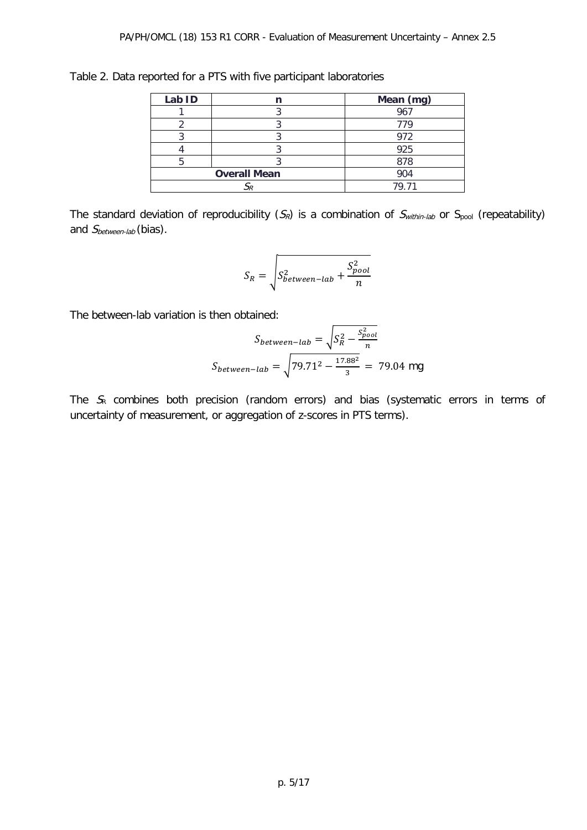| Lab ID |                     | Mean (mg) |
|--------|---------------------|-----------|
|        |                     | 967       |
|        |                     | 779       |
|        |                     | 972       |
|        |                     | 925       |
|        |                     | 878       |
|        | <b>Overall Mean</b> | 904       |
|        |                     | 79 71     |

Table 2. Data reported for a PTS with five participant laboratories

The standard deviation of reproducibility  $(S_R)$  is a combination of  $S_{within\text{-lab}}$  or  $S_{pool}$  (repeatability) and S<sub>between-lab</sub> (bias).

$$
S_R = \sqrt{S_{between-lab}^2 + \frac{S_{pool}^2}{n}}
$$

The between-lab variation is then obtained:

$$
S_{between-lab} = \sqrt{S_R^2 - \frac{S_{pool}^2}{n}}
$$

$$
S_{between-lab} = \sqrt{79.71^2 - \frac{17.88^2}{3}} = 79.04 \text{ mg}
$$

The  $S<sub>R</sub>$  combines both precision (random errors) and bias (systematic errors in terms of uncertainty of measurement, or aggregation of z-scores in PTS terms).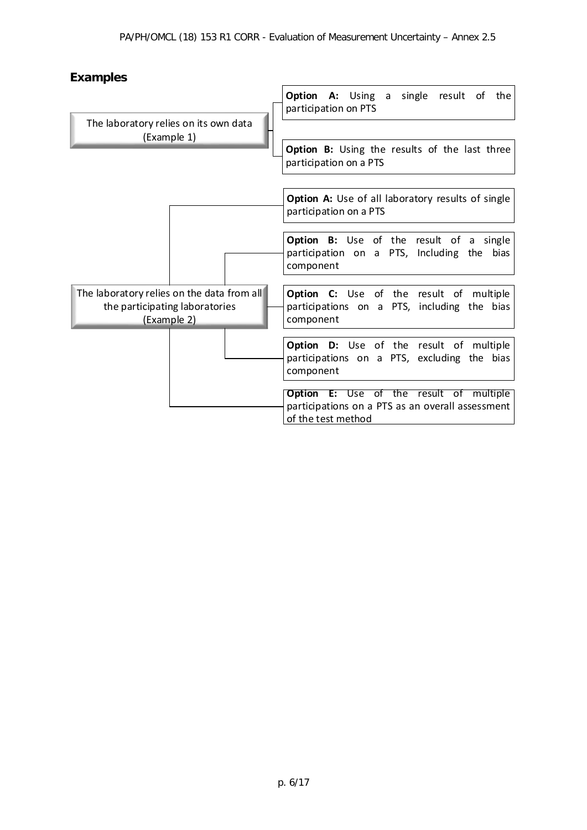## **Examples**

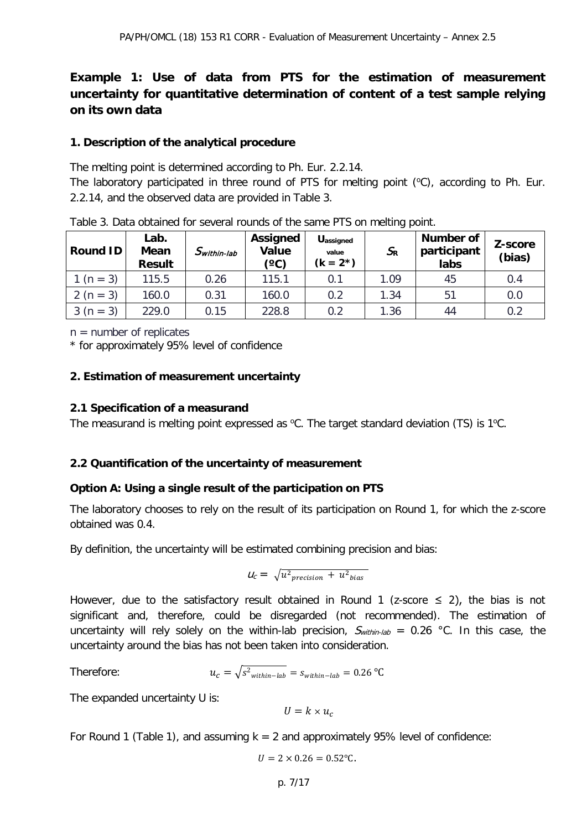## **Example 1: Use of data from PTS for the estimation of measurement uncertainty for quantitative determination of content of a test sample relying on its own data**

#### **1. Description of the analytical procedure**

The melting point is determined according to Ph. Eur. 2.2.14.

The laboratory participated in three round of PTS for melting point (°C), according to Ph. Eur. 2.2.14, and the observed data are provided in Table 3.

| <b>Round ID</b> | Lab.<br>Mean<br><b>Result</b> | $S$ within-lab | Assigned<br>Value<br>(°C) | <b>Uassigned</b><br>value<br>$(k = 2^*)$ | $S_{R}$ | <b>Number of</b><br>participant<br>labs | Z-score<br>(bias) |
|-----------------|-------------------------------|----------------|---------------------------|------------------------------------------|---------|-----------------------------------------|-------------------|
| $1 (n = 3)$     | 115.5                         | 0.26           | 115.1                     | 0.1                                      | 1.09    | 45                                      | 0.4               |
| 2 ( $n = 3$ )   | 160.0                         | 0.31           | 160.0                     | 0.2                                      | 1.34    | 51                                      | 0.0               |
| $3(n = 3)$      | 229.0                         | 0.15           | 228.8                     | 0.2                                      | 1.36    | 44                                      | 0.2               |

Table 3. Data obtained for several rounds of the same PTS on melting point.

 $n =$  number of replicates

\* for approximately 95% level of confidence

#### **2. Estimation of measurement uncertainty**

#### **2.1 Specification of a measurand**

The measurand is melting point expressed as  $°C$ . The target standard deviation (TS) is 1°C.

#### **2.2 Quantification of the uncertainty of measurement**

#### **Option A: Using a single result of the participation on PTS**

The laboratory chooses to rely on the result of its participation on Round 1, for which the z-score obtained was 0.4.

By definition, the uncertainty will be estimated combining precision and bias:

$$
U_c = \sqrt{u^2_{precision} + u^2_{bias}}
$$

However, due to the satisfactory result obtained in Round 1 (z-score  $\leq$  2), the bias is not significant and, therefore, could be disregarded (not recommended). The estimation of uncertainty will rely solely on the within-lab precision,  $S_{within-lab} = 0.26$  °C. In this case, the uncertainty around the bias has not been taken into consideration.

$$
u_c = \sqrt{s^2_{within-lab}} = s_{within-lab} = 0.26 \,^{\circ}\text{C}
$$

The expanded uncertainty U is:

Therefore:

 $U = k \times u_c$ 

For Round 1 (Table 1), and assuming  $k = 2$  and approximately 95% level of confidence:

$$
U = 2 \times 0.26 = 0.52
$$
 °C.

p. 7/17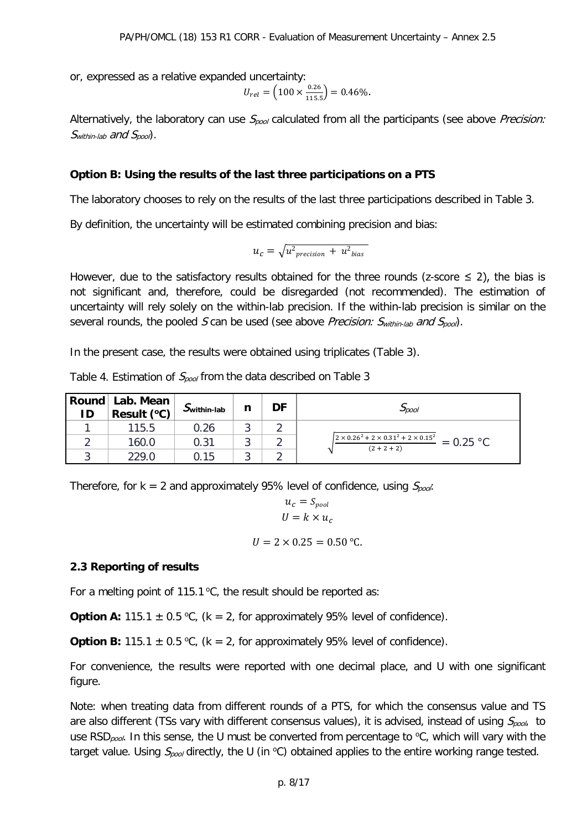or, expressed as a relative expanded uncertainty:

$$
U_{rel} = \left(100 \times \frac{0.26}{115.5}\right) = 0.46\%.
$$

Alternatively, the laboratory can use  $S_{pool}$  calculated from all the participants (see above Precision:  $S_{within\text{-}lab}$  and  $S_{pool}$ .

#### **Option B: Using the results of the last three participations on a PTS**

The laboratory chooses to rely on the results of the last three participations described in Table 3.

By definition, the uncertainty will be estimated combining precision and bias:

$$
u_c = \sqrt{u^2_{\text{precision}} + u^2_{\text{bias}}}
$$

However, due to the satisfactory results obtained for the three rounds (z-score  $\leq$  2), the bias is not significant and, therefore, could be disregarded (not recommended). The estimation of uncertainty will rely solely on the within-lab precision. If the within-lab precision is similar on the several rounds, the pooled S can be used (see above Precision:  $S_{within\text{-lab}}$  and  $S_{pool}$ ).

In the present case, the results were obtained using triplicates (Table 3).

|  |   |  | Table 4. Estimation of $S_{pool}$ from the data described on Table 3 |  |
|--|---|--|----------------------------------------------------------------------|--|
|  | . |  |                                                                      |  |

| ID | Round   Lab. Mean_<br>Result (°C) | $Jwithin-lab$ | n | DF | $\mathcal{L}_{\textit{D}\textit{O}\textit{O}}$                                          |
|----|-----------------------------------|---------------|---|----|-----------------------------------------------------------------------------------------|
|    | 115.5                             | 0.26          |   |    |                                                                                         |
|    | 160.0                             | 0.31          |   |    | $\sqrt{2 \times 0.26^2 + 2 \times 0.31^2 + 2 \times 0.15^2}$ = 0.25 °C<br>$(2 + 2 + 2)$ |
|    | 229.0                             | 0.15          |   |    |                                                                                         |

Therefore, for  $k = 2$  and approximately 95% level of confidence, using  $S_{\text{pool}}$ .

$$
u_c = S_{pool}
$$
  

$$
U = k \times u_c
$$

$$
U = 2 \times 0.25 = 0.50
$$
 °C.

#### **2.3 Reporting of results**

For a melting point of 115.1  $\mathrm{^{\circ}C}$ , the result should be reported as:

**Option A:** 115.1  $\pm$  0.5 °C, ( $k = 2$ , for approximately 95% level of confidence).

**Option B:** 115.1  $\pm$  0.5 °C, ( $k = 2$ , for approximately 95% level of confidence).

For convenience, the results were reported with one decimal place, and U with one significant figure.

Note: when treating data from different rounds of a PTS, for which the consensus value and TS are also different (TSs vary with different consensus values), it is advised, instead of using  $S_{pool}$  to use RSD<sub>pool</sub>. In this sense, the U must be converted from percentage to  $\mathrm{^{\circ}C}$ , which will vary with the target value. Using  $S_{pool}$  directly, the U (in °C) obtained applies to the entire working range tested.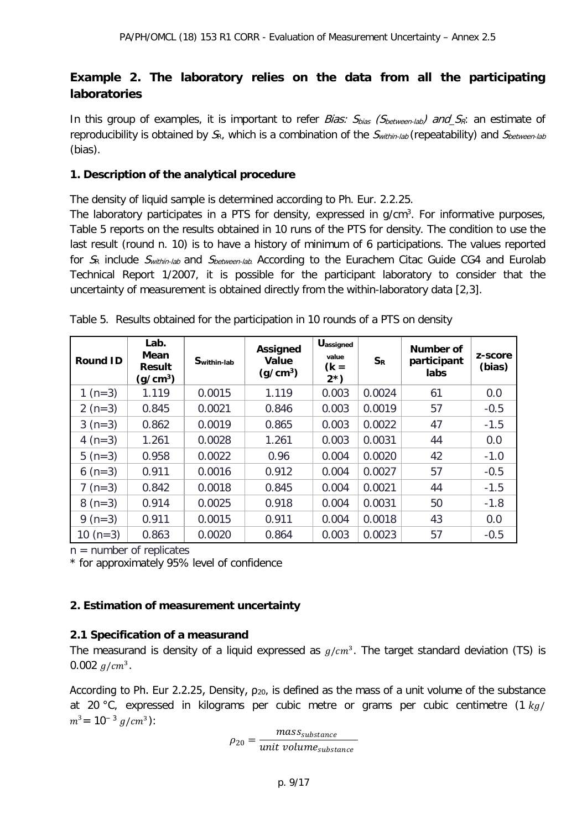## **Example 2. The laboratory relies on the data from all the participating laboratories**

In this group of examples, it is important to refer *Bias:*  $S_{bias}$  *(Sbetween-lab) and SR*: an estimate of reproducibility is obtained by  $S_R$ , which is a combination of the  $S_{within\,lab}$  (repeatability) and  $S_{between\,lab}$ (bias).

#### **1. Description of the analytical procedure**

The density of liquid sample is determined according to Ph. Eur. 2.2.25.

The laboratory participates in a PTS for density, expressed in g/cm<sup>3</sup>. For informative purposes, Table 5 reports on the results obtained in 10 runs of the PTS for density. The condition to use the last result (round n. 10) is to have a history of minimum of 6 participations. The values reported for  $S_R$  include  $S<sub>within-lab</sub>$  and  $S<sub>between-lab</sub>$ . According to the Eurachem Citac Guide CG4 and Eurolab Technical Report 1/2007, it is possible for the participant laboratory to consider that the uncertainty of measurement is obtained directly from the within-laboratory data [2,3].

| <b>Round ID</b> | Lab.<br>Mean<br><b>Result</b><br>(q/cm $^3$ ) | Swithin-lab | <b>Assigned</b><br>Value<br>(g/cm <sup>3</sup> ) | <b>Uassigned</b><br>value<br>$(k =$<br>$2^{*}$ | $S_{R}$ | Number of<br>participant<br>labs | z-score<br>(bias) |
|-----------------|-----------------------------------------------|-------------|--------------------------------------------------|------------------------------------------------|---------|----------------------------------|-------------------|
| 1 $(n=3)$       | 1.119                                         | 0.0015      | 1.119                                            | 0.003                                          | 0.0024  | 61                               | 0.0               |
| 2 $(n=3)$       | 0.845                                         | 0.0021      | 0.846                                            | 0.003                                          | 0.0019  | 57                               | $-0.5$            |
| $3(n=3)$        | 0.862                                         | 0.0019      | 0.865                                            | 0.003                                          | 0.0022  | 47                               | $-1.5$            |
| 4 ( $n=3$ )     | 1.261                                         | 0.0028      | 1.261                                            | 0.003                                          | 0.0031  | 44                               | 0.0               |
| 5 $(n=3)$       | 0.958                                         | 0.0022      | 0.96                                             | 0.004                                          | 0.0020  | 42                               | $-1.0$            |
| 6 $(n=3)$       | 0.911                                         | 0.0016      | 0.912                                            | 0.004                                          | 0.0027  | 57                               | $-0.5$            |
| $7 (n=3)$       | 0.842                                         | 0.0018      | 0.845                                            | 0.004                                          | 0.0021  | 44                               | $-1.5$            |
| $8(n=3)$        | 0.914                                         | 0.0025      | 0.918                                            | 0.004                                          | 0.0031  | 50                               | $-1.8$            |
| 9 ( $n=3$ )     | 0.911                                         | 0.0015      | 0.911                                            | 0.004                                          | 0.0018  | 43                               | 0.0               |
| $10(n=3)$       | 0.863                                         | 0.0020      | 0.864                                            | 0.003                                          | 0.0023  | 57                               | $-0.5$            |

| Table 5. Results obtained for the participation in 10 rounds of a PTS on density |  |  |  |  |  |  |  |  |
|----------------------------------------------------------------------------------|--|--|--|--|--|--|--|--|
|----------------------------------------------------------------------------------|--|--|--|--|--|--|--|--|

 $n =$  number of replicates

\* for approximately 95% level of confidence

#### **2. Estimation of measurement uncertainty**

#### **2.1 Specification of a measurand**

The measurand is density of a liquid expressed as  $g/cm<sup>3</sup>$ . The target standard deviation (TS) is 0.002  $q/cm^3$ .

According to Ph. Eur 2.2.25, Density,  $\rho_{20}$ , is defined as the mass of a unit volume of the substance at 20 °C, expressed in kilograms per cubic metre or grams per cubic centimetre  $(1 kg)$  $m^3$  = 10<sup>-3</sup>  $g/cm^3$ ):

 $\rho_{20} = \frac{mass_{\text{substance}}}{unit \text{ volume}_{\text{subs}}}$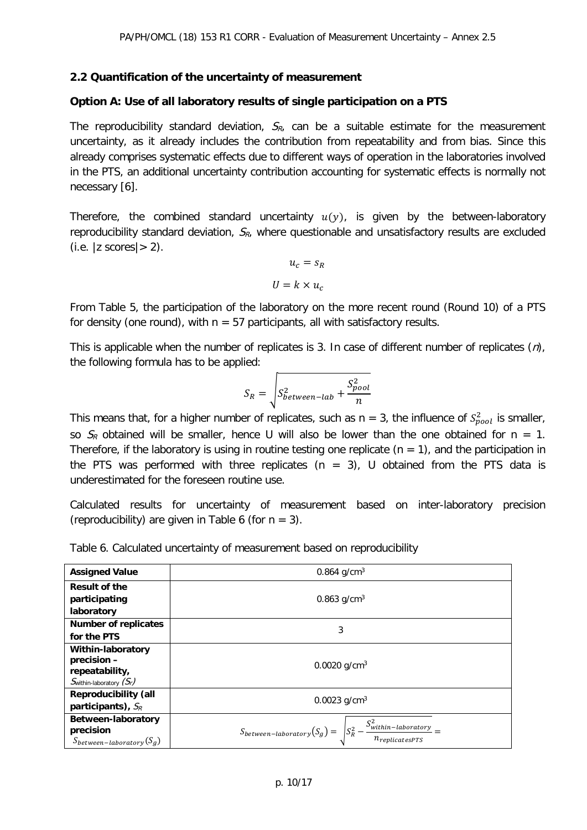#### **2.2 Quantification of the uncertainty of measurement**

#### **Option A: Use of all laboratory results of single participation on a PTS**

The reproducibility standard deviation,  $S_{R_i}$  can be a suitable estimate for the measurement uncertainty, as it already includes the contribution from repeatability and from bias. Since this already comprises systematic effects due to different ways of operation in the laboratories involved in the PTS, an additional uncertainty contribution accounting for systematic effects is normally not necessary [6].

Therefore, the combined standard uncertainty  $u(y)$ , is given by the between-laboratory reproducibility standard deviation,  $S_{R}$ , where questionable and unsatisfactory results are excluded  $(i.e. |z \text{ scores}| > 2)$ .

$$
u_c = s_R
$$

$$
U = k \times u_c
$$

From Table 5, the participation of the laboratory on the more recent round (Round 10) of a PTS for density (one round), with  $n = 57$  participants, all with satisfactory results.

This is applicable when the number of replicates is 3. In case of different number of replicates  $(n)$ , the following formula has to be applied:

$$
S_R = \sqrt{S_{between-lab}^2 + \frac{S_{pool}^2}{n}}
$$

This means that, for a higher number of replicates, such as n = 3, the influence of  $S_{pool}^2$  is smaller, so  $S_R$  obtained will be smaller, hence U will also be lower than the one obtained for n = 1. Therefore, if the laboratory is using in routine testing one replicate ( $n = 1$ ), and the participation in the PTS was performed with three replicates ( $n = 3$ ), U obtained from the PTS data is underestimated for the foreseen routine use.

Calculated results for uncertainty of measurement based on inter-laboratory precision (reproducibility) are given in Table 6 (for  $n = 3$ ).

| Table 6. Calculated uncertainty of measurement based on reproducibility |  |
|-------------------------------------------------------------------------|--|
|-------------------------------------------------------------------------|--|

| <b>Assigned Value</b>               | 0.864 $g/cm3$                                                                                  |
|-------------------------------------|------------------------------------------------------------------------------------------------|
| <b>Result of the</b>                |                                                                                                |
| participating                       | 0.863 $g/cm3$                                                                                  |
| laboratory                          |                                                                                                |
| <b>Number of replicates</b>         | 3                                                                                              |
| for the PTS                         |                                                                                                |
| <b>Within-laboratory</b>            |                                                                                                |
| precision -                         | 0.0020 g/cm <sup>3</sup>                                                                       |
| repeatability,                      |                                                                                                |
| $S_{\text{within-laboratory}}(S_r)$ |                                                                                                |
| <b>Reproducibility (all</b>         | 0.0023 $g/cm3$                                                                                 |
| participants), $S_R$                |                                                                                                |
| Between-laboratory                  |                                                                                                |
| precision                           |                                                                                                |
| $S_{between-laboratory}(S_g)$       | $S_{between-laboratory}(S_g) = \sqrt{S_R^2 - \frac{S_{within-laboratory}^2}{n_{ronlicator}}}=$ |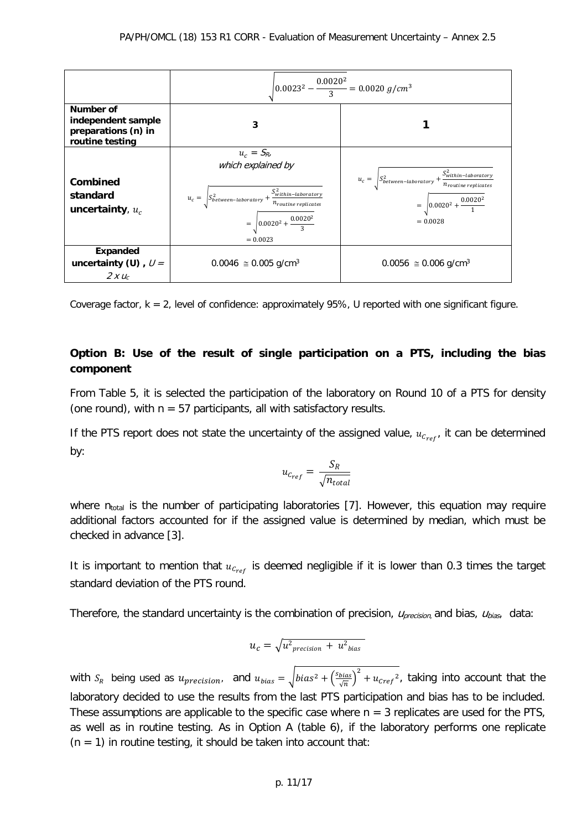|                                                                           | $\left  0.0023^2 - \frac{0.0020^2}{3} \right  = 0.0020 g/cm^3$                                                                                                                                   |                                                                                                                                                           |  |  |  |  |
|---------------------------------------------------------------------------|--------------------------------------------------------------------------------------------------------------------------------------------------------------------------------------------------|-----------------------------------------------------------------------------------------------------------------------------------------------------------|--|--|--|--|
| Number of<br>independent sample<br>preparations (n) in<br>routine testing | 3                                                                                                                                                                                                |                                                                                                                                                           |  |  |  |  |
| Combined<br>standard<br>uncertainty, $u_c$                                | $u_c = S_{R_i}$<br>which explained by<br>$u_c = \int S_{between-laboratory}^2 + \frac{S_{within-laboratory}^2}{n_{routine \ replicates}}$<br>$=\sqrt{0.0020^2+\frac{0.0020^2}{3}}$<br>$= 0.0023$ | $u_c = \sqrt{S_{between-laboratory}^2 + \frac{S_{within-laboratory}^2}{n_{routine \ replicates}}}$<br>$=\sqrt{0.0020^2+\frac{0.0020^2}{1}}$<br>$= 0.0028$ |  |  |  |  |
| <b>Expanded</b><br>uncertainty (U), $U =$<br>$2 x u_c$                    | $0.0046 \approx 0.005$ g/cm <sup>3</sup>                                                                                                                                                         | $0.0056 \approx 0.006$ g/cm <sup>3</sup>                                                                                                                  |  |  |  |  |

Coverage factor,  $k = 2$ , level of confidence: approximately 95%, U reported with one significant figure.

## **Option B: Use of the result of single participation on a PTS, including the bias component**

From Table 5, it is selected the participation of the laboratory on Round 10 of a PTS for density (one round), with  $n = 57$  participants, all with satisfactory results.

If the PTS report does not state the uncertainty of the assigned value,  $u_{c_{ref}}$ , it can be determined by:

$$
u_{c_{ref}} = \frac{S_R}{\sqrt{n_{total}}}
$$

where  $n_{total}$  is the number of participating laboratories [7]. However, this equation may require additional factors accounted for if the assigned value is determined by median, which must be checked in advance [3].

It is important to mention that  $u_{c_{ref}}$  is deemed negligible if it is lower than 0.3 times the target standard deviation of the PTS round.

Therefore, the standard uncertainty is the combination of precision,  $U_{precision}$  and bias,  $U_{bias}$ , data:

$$
u_c = \sqrt{u_{\text{precision}}^2 + u_{\text{bias}}^2}
$$

with  $S_R$  being used as  $u_{precision}$ , and  $u_{bias} = \sqrt{bias^2 + (\frac{s_{bias}}{\sqrt{n}})^2 + u_{cref}^2}$ , taking into account that the laboratory decided to use the results from the last PTS participation and bias has to be included. These assumptions are applicable to the specific case where  $n = 3$  replicates are used for the PTS, as well as in routine testing. As in Option A (table 6), if the laboratory performs one replicate  $(n = 1)$  in routine testing, it should be taken into account that: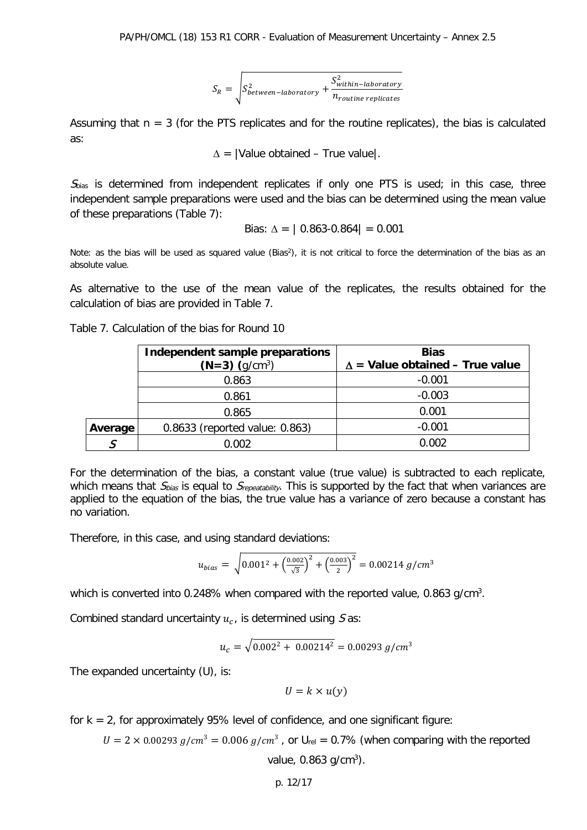$$
S_R = \sqrt{S_{between-laboratory}^2 + \frac{S_{within-laboratory}^2}{n_{routine\ replicates}}}
$$

Assuming that  $n = 3$  (for the PTS replicates and for the routine replicates), the bias is calculated as:

 $\Delta$  = |Value obtained – True value|.

 $S<sub>bias</sub>$  is determined from independent replicates if only one PTS is used; in this case, three independent sample preparations were used and the bias can be determined using the mean value of these preparations (Table 7):

Bias: 
$$
\Delta = |0.863-0.864| = 0.001
$$

Note: as the bias will be used as squared value (Bias<sup>2</sup>), it is not critical to force the determination of the bias as an absolute value.

As alternative to the use of the mean value of the replicates, the results obtained for the calculation of bias are provided in Table 7.

Table 7. Calculation of the bias for Round 10

|         | Independent sample preparations | <b>Bias</b><br>$\Delta$ = Value obtained – True value |  |  |
|---------|---------------------------------|-------------------------------------------------------|--|--|
|         | $(N=3)$ $(q/cm^3)$              |                                                       |  |  |
|         | 0.863                           | $-0.001$                                              |  |  |
|         | 0.861                           | $-0.003$                                              |  |  |
|         | 0.865                           | 0.001                                                 |  |  |
| Average | 0.8633 (reported value: 0.863)  | $-0.001$                                              |  |  |
|         | 0.002                           | ን.002                                                 |  |  |

For the determination of the bias, a constant value (true value) is subtracted to each replicate, which means that  $S_{bias}$  is equal to  $S_{repeatability}$ . This is supported by the fact that when variances are applied to the equation of the bias, the true value has a variance of zero because a constant has no variation.

Therefore, in this case, and using standard deviations:

$$
u_{bias} = \sqrt{0.001^2 + \left(\frac{0.002}{\sqrt{3}}\right)^2 + \left(\frac{0.003}{2}\right)^2} = 0.00214 \text{ g/cm}^3
$$

which is converted into 0.248% when compared with the reported value, 0.863 g/cm<sup>3</sup>.

Combined standard uncertainty  $u_c$ , is determined using  $S$  as:

$$
u_c = \sqrt{0.002^2 + 0.00214^2} = 0.00293 \, g/cm^3
$$

The expanded uncertainty (U), is:

$$
U = k \times u(y)
$$

for  $k = 2$ , for approximately 95% level of confidence, and one significant figure:

 $U = 2 \times 0.00293 g/cm^3 = 0.006 g/cm^3$ , or  $U_{rel} = 0.7\%$  (when comparing with the reported

value, 0.863 g/cm<sup>3</sup>).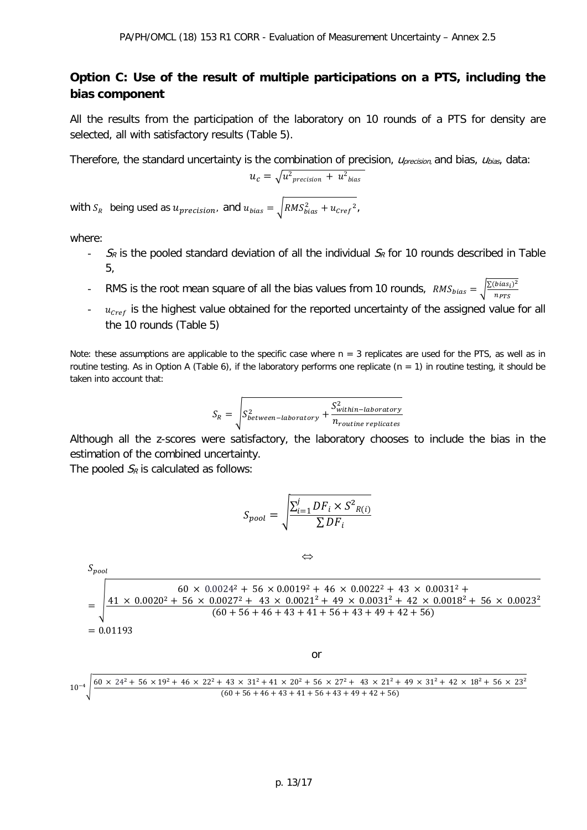## **Option C: Use of the result of multiple participations on a PTS, including the bias component**

All the results from the participation of the laboratory on 10 rounds of a PTS for density are selected, all with satisfactory results (Table 5).

Therefore, the standard uncertainty is the combination of precision,  $U_{\text{precision}}$  and bias,  $U_{\text{bias}}$ , data:

$$
u_c = \sqrt{u_{\text{precision}}^2 + u_{\text{bias}}^2}
$$

with  $S_R^{\phantom i}$  being used as  $u_{precision}$ , and  $u_{bias} = \sqrt{RMS_{bias}^2 + u_{Cref}^2}$  ,

where:

- $S_R$  is the pooled standard deviation of all the individual  $S_R$  for 10 rounds described in Table 5,
- RMS is the root mean square of all the bias values from 10 rounds,  $RMS_{bias} = \sqrt{\frac{\Sigma (bias_i)^2}{n_{PTS}}}$
- $\frac{u_{\text{cref}}}{u_{\text{cref}}}$  is the highest value obtained for the reported uncertainty of the assigned value for all the 10 rounds (Table 5)

Note: these assumptions are applicable to the specific case where  $n = 3$  replicates are used for the PTS, as well as in routine testing. As in Option A (Table 6), if the laboratory performs one replicate ( $n = 1$ ) in routine testing, it should be taken into account that:

$$
S_R = \sqrt{S_{between-laboratory}^2 + \frac{S_{within-laboratory}^2}{n_{routine\ replicates}}}
$$

Although all the z-scores were satisfactory, the laboratory chooses to include the bias in the estimation of the combined uncertainty.

The pooled  $S_R$  is calculated as follows:

$$
S_{pool} = \sqrt{\frac{\sum_{i=1}^{j} DF_i \times S^2_{R(i)}}{\sum DF_i}}
$$

$$
S_{pool}
$$
\n
$$
\Leftrightarrow
$$
\n
$$
S_{pool}
$$
\n
$$
= \sqrt{\frac{41 \times 0.0020^2 + 56 \times 0.0024^2 + 56 \times 0.0019^2 + 46 \times 0.0022^2 + 43 \times 0.0031^2 + 49 \times 0.0031^2 + 56 \times 0.0023^2 + 56 \times 0.0027^2 + 43 \times 0.0021^2 + 49 \times 0.0031^2 + 42 \times 0.0018^2 + 56 \times 0.0023^2}{(60 + 56 + 46 + 43 + 41 + 56 + 43 + 49 + 42 + 56)}
$$

or

<sup>10</sup>−4� <sup>60</sup> <sup>×</sup> <sup>24</sup><sup>2</sup> <sup>+</sup> <sup>56</sup> <sup>×</sup> <sup>19</sup><sup>2</sup> <sup>+</sup> <sup>46</sup> <sup>×</sup> <sup>22</sup><sup>2</sup> <sup>+</sup> <sup>43</sup> <sup>×</sup> <sup>31</sup><sup>2</sup> <sup>+</sup> <sup>41</sup> <sup>×</sup> <sup>20</sup><sup>2</sup> <sup>+</sup> <sup>56</sup> <sup>×</sup> <sup>27</sup><sup>2</sup> <sup>+</sup> <sup>43</sup> <sup>×</sup> <sup>21</sup>² <sup>+</sup> <sup>49</sup> <sup>×</sup> <sup>31</sup>² <sup>+</sup> <sup>42</sup> <sup>×</sup> <sup>18</sup>² <sup>+</sup> <sup>56</sup> <sup>×</sup> <sup>23</sup>² (60 + 56 + 46 + 43 + 41 + 56 + 43 + 49 + 42 + 56)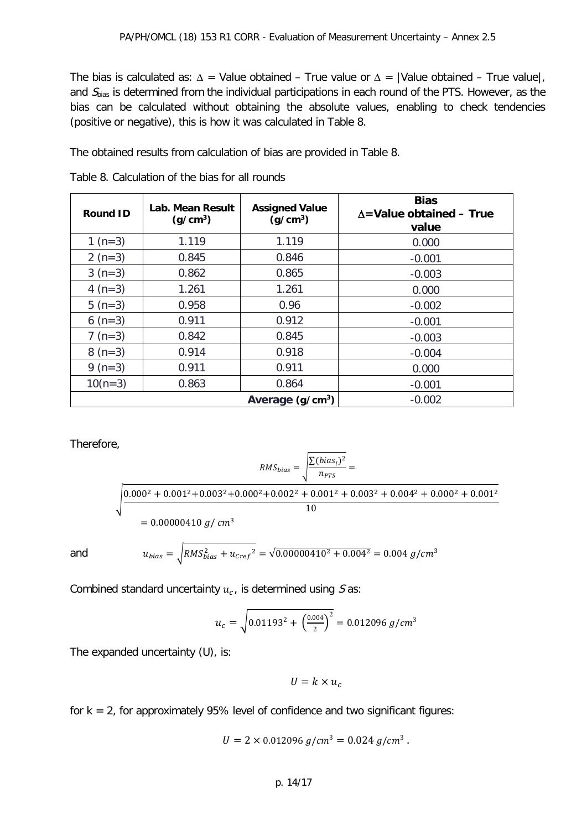The bias is calculated as:  $\Delta$  = Value obtained – True value or  $\Delta$  = |Value obtained – True value|, and  $S<sub>bias</sub>$  is determined from the individual participations in each round of the PTS. However, as the bias can be calculated without obtaining the absolute values, enabling to check tendencies (positive or negative), this is how it was calculated in Table 8.

The obtained results from calculation of bias are provided in Table 8.

| <b>Round ID</b> | Lab. Mean Result<br><b>Assigned Value</b><br>(g/cm <sup>3</sup> )<br>(g/cm <sup>3</sup> ) |          | <b>Bias</b><br>$\Delta$ =Value obtained – True<br>value |  |  |
|-----------------|-------------------------------------------------------------------------------------------|----------|---------------------------------------------------------|--|--|
| 1 ( $n=3$ )     | 1.119                                                                                     | 1.119    | 0.000                                                   |  |  |
| 2 $(n=3)$       | 0.845                                                                                     | 0.846    | $-0.001$                                                |  |  |
| $3(n=3)$        | 0.862                                                                                     | 0.865    | $-0.003$                                                |  |  |
| 4 $(n=3)$       | 1.261                                                                                     | 1.261    | 0.000                                                   |  |  |
| 5 $(n=3)$       | 0.958                                                                                     | 0.96     | $-0.002$                                                |  |  |
| 6 $(n=3)$       | 0.911                                                                                     | 0.912    | $-0.001$                                                |  |  |
| $7 (n=3)$       | 0.842                                                                                     | 0.845    | $-0.003$                                                |  |  |
| $8(n=3)$        | 0.914                                                                                     | 0.918    | $-0.004$                                                |  |  |
| 9 $(n=3)$       | 0.911                                                                                     | 0.911    | 0.000                                                   |  |  |
| $10(n=3)$       | 0.863                                                                                     | 0.864    | $-0.001$                                                |  |  |
|                 |                                                                                           | $-0.002$ |                                                         |  |  |

Table 8. Calculation of the bias for all rounds

Therefore,

$$
RMS_{bias} = \sqrt{\frac{\sum (bias_i)^2}{n_{PTS}}} =
$$
  

$$
\sqrt{\frac{0.000^2 + 0.001^2 + 0.003^2 + 0.000^2 + 0.002^2 + 0.001^2 + 0.003^2 + 0.004^2 + 0.000^2 + 0.001^2}{10}}
$$
  
= 0.00000410 *g*/*cm*<sup>3</sup>

and 
$$
u_{bias} = \sqrt{RMS_{bias}^2 + u_{Cref}^2} = \sqrt{0.00000410^2 + 0.004^2} = 0.004 \, g/cm^3
$$

Combined standard uncertainty  $u_c$ , is determined using S as:

$$
u_c = \sqrt{0.01193^2 + \left(\frac{0.004}{2}\right)^2} = 0.012096 \, g/cm^3
$$

The expanded uncertainty (U), is:

$$
U=k\times u_c
$$

for  $k = 2$ , for approximately 95% level of confidence and two significant figures:

$$
U = 2 \times 0.012096 \, g/cm^3 = 0.024 \, g/cm^3 \, .
$$

#### p. 14/17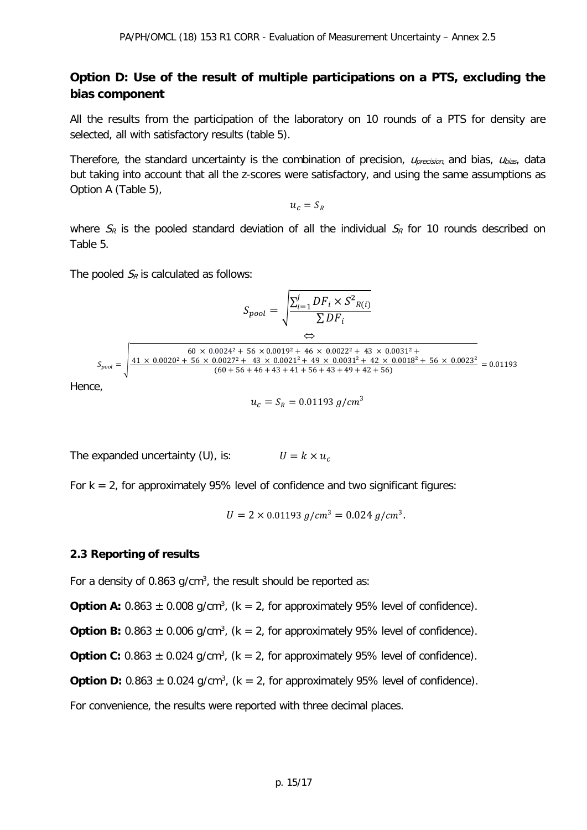## **Option D: Use of the result of multiple participations on a PTS, excluding the bias component**

All the results from the participation of the laboratory on 10 rounds of a PTS for density are selected, all with satisfactory results (table 5).

Therefore, the standard uncertainty is the combination of precision,  $U_{\text{precision}}$  and bias,  $U_{\text{bias}}$ , data but taking into account that all the z-scores were satisfactory, and using the same assumptions as Option A (Table 5),

 $u_c = S_R$ 

where  $S_R$  is the pooled standard deviation of all the individual  $S_R$  for 10 rounds described on Table 5.

The pooled  $S_R$  is calculated as follows:

$$
S_{pool} = \sqrt{\frac{\sum_{i=1}^{j} DF_i \times S^2_{R(i)}}{\sum DF_i}}
$$
  
\n
$$
S_{pool} = \sqrt{\frac{60 \times 0.0024^2 + 56 \times 0.0019^2 + 46 \times 0.0022^2 + 43 \times 0.0031^2 + 49 \times 0.0031^2 + 49 \times 0.0031^2 + 42 \times 0.00031^2 + 42 \times 0.00031^2}{(60 + 56 + 46 + 43 + 41 + 56 + 43 + 49 + 42 + 56)}} = 0.01193
$$

Hence,

$$
u_c = S_R = 0.01193 \, g/cm^3
$$

The expanded uncertainty (U), is:  $U = k \times u_c$ 

For  $k = 2$ , for approximately 95% level of confidence and two significant figures:

$$
U = 2 \times 0.01193 \, g/cm^3 = 0.024 \, g/cm^3.
$$

#### **2.3 Reporting of results**

For a density of 0.863 g/cm $3$ , the result should be reported as:

**Option A:**  $0.863 \pm 0.008$  g/cm<sup>3</sup>, (k = 2, for approximately 95% level of confidence).

**Option B:**  $0.863 \pm 0.006$  g/cm<sup>3</sup>, (k = 2, for approximately 95% level of confidence).

**Option C:**  $0.863 \pm 0.024$  g/cm<sup>3</sup>, (k = 2, for approximately 95% level of confidence).

**Option D:**  $0.863 \pm 0.024$  g/cm<sup>3</sup>, (k = 2, for approximately 95% level of confidence).

For convenience, the results were reported with three decimal places.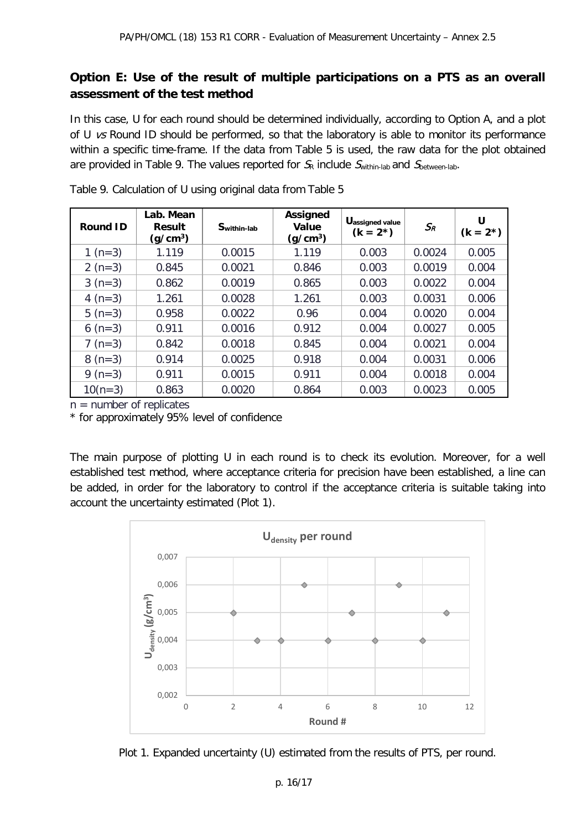## **Option E: Use of the result of multiple participations on a PTS as an overall assessment of the test method**

In this case, U for each round should be determined individually, according to Option A, and a plot of U vs Round ID should be performed, so that the laboratory is able to monitor its performance within a specific time-frame. If the data from Table 5 is used, the raw data for the plot obtained are provided in Table 9. The values reported for  $S_R$  include  $S<sub>within-lab</sub>$  and  $S<sub>between-lab</sub>$ .

| <b>Round ID</b> | Lab. Mean<br><b>Result</b><br>(g/cm <sup>3</sup> ) | Swithin-lab | <b>Assigned</b><br>Value<br>(g/cm <sup>3</sup> ) | Uassigned value<br>$(k = 2^*)$ | $S_R$  | U<br>$(k = 2^*)$ |
|-----------------|----------------------------------------------------|-------------|--------------------------------------------------|--------------------------------|--------|------------------|
| 1 $(n=3)$       | 1.119                                              | 0.0015      | 1.119                                            | 0.003                          | 0.0024 | 0.005            |
| $2(n=3)$        | 0.845                                              | 0.0021      | 0.846                                            | 0.003                          | 0.0019 | 0.004            |
| $3(n=3)$        | 0.862                                              | 0.0019      | 0.865                                            | 0.003                          | 0.0022 | 0.004            |
| 4 ( $n=3$ )     | 1.261                                              | 0.0028      | 1.261                                            | 0.003                          | 0.0031 | 0.006            |
| $5(n=3)$        | 0.958                                              | 0.0022      | 0.96                                             | 0.004                          | 0.0020 | 0.004            |
| 6 $(n=3)$       | 0.911                                              | 0.0016      | 0.912                                            | 0.004                          | 0.0027 | 0.005            |
| $7 (n=3)$       | 0.842                                              | 0.0018      | 0.845                                            | 0.004                          | 0.0021 | 0.004            |
| $8(n=3)$        | 0.914                                              | 0.0025      | 0.918                                            | 0.004                          | 0.0031 | 0.006            |
| 9 ( $n=3$ )     | 0.911                                              | 0.0015      | 0.911                                            | 0.004                          | 0.0018 | 0.004            |
| $10(n=3)$       | 0.863                                              | 0.0020      | 0.864                                            | 0.003                          | 0.0023 | 0.005            |

Table 9. Calculation of U using original data from Table 5

 $n =$  number of replicates

\* for approximately 95% level of confidence

The main purpose of plotting U in each round is to check its evolution. Moreover, for a well established test method, where acceptance criteria for precision have been established, a line can be added, in order for the laboratory to control if the acceptance criteria is suitable taking into account the uncertainty estimated (Plot 1).